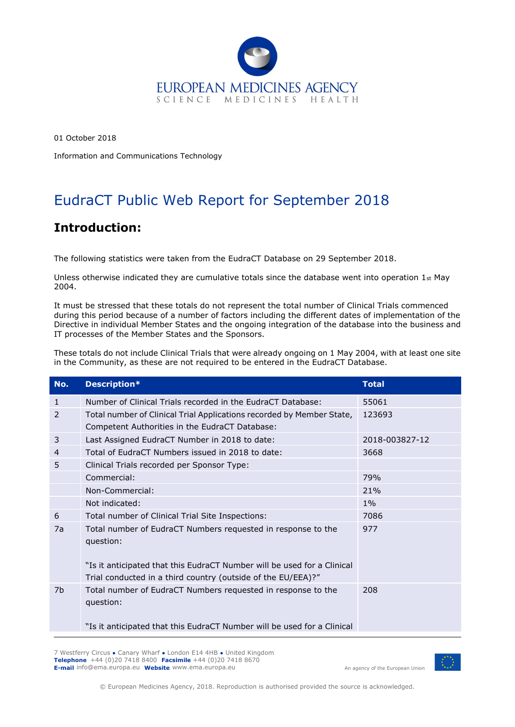

01 October 2018 Information and Communications Technology

# EudraCT Public Web Report for September 2018

### **Introduction:**

The following statistics were taken from the EudraCT Database on 29 September 2018.

Unless otherwise indicated they are cumulative totals since the database went into operation  $1st$  May 2004.

It must be stressed that these totals do not represent the total number of Clinical Trials commenced during this period because of a number of factors including the different dates of implementation of the Directive in individual Member States and the ongoing integration of the database into the business and IT processes of the Member States and the Sponsors.

These totals do not include Clinical Trials that were already ongoing on 1 May 2004, with at least one site in the Community, as these are not required to be entered in the EudraCT Database.

| No.            | Description*                                                                                                                            | <b>Total</b>   |
|----------------|-----------------------------------------------------------------------------------------------------------------------------------------|----------------|
| 1              | Number of Clinical Trials recorded in the EudraCT Database:                                                                             | 55061          |
| 2              | Total number of Clinical Trial Applications recorded by Member State,<br>Competent Authorities in the EudraCT Database:                 | 123693         |
| 3              | Last Assigned EudraCT Number in 2018 to date:                                                                                           | 2018-003827-12 |
| $\overline{4}$ | Total of EudraCT Numbers issued in 2018 to date:                                                                                        | 3668           |
| 5              | Clinical Trials recorded per Sponsor Type:                                                                                              |                |
|                | Commercial:                                                                                                                             | 79%            |
|                | Non-Commercial:                                                                                                                         | 21%            |
|                | Not indicated:                                                                                                                          | $1\%$          |
| 6              | Total number of Clinical Trial Site Inspections:                                                                                        | 7086           |
| 7a             | Total number of EudraCT Numbers requested in response to the<br>question:                                                               | 977            |
|                | "Is it anticipated that this EudraCT Number will be used for a Clinical<br>Trial conducted in a third country (outside of the EU/EEA)?" |                |
| 7b             | Total number of EudraCT Numbers requested in response to the<br>question:                                                               | 208            |
|                | "Is it anticipated that this EudraCT Number will be used for a Clinical                                                                 |                |

7 Westferry Circus **●** Canary Wharf **●** London E14 4HB **●** United Kingdom **Telephone** +44 (0)20 7418 8400 **Facsimile** +44 (0)20 7418 8670 **E-mail** info@ema.europa.eu **Website** www.ema.europa.eu

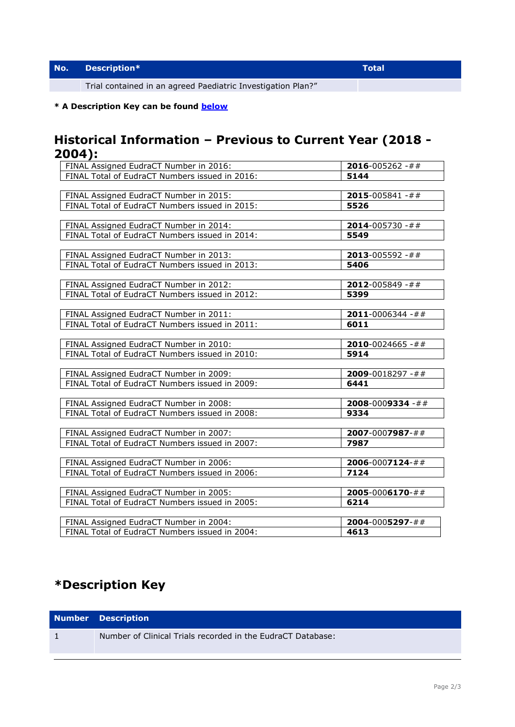Trial contained in an agreed Paediatric Investigation Plan?"

#### **\* A Description Key can be found [below](#page-1-0)**

### **Historical Information – Previous to Current Year (2018 - 2004):**

| .                                              |                          |
|------------------------------------------------|--------------------------|
| FINAL Assigned EudraCT Number in 2016:         | $2016 - 005262 - # #$    |
| FINAL Total of EudraCT Numbers issued in 2016: | 5144                     |
|                                                |                          |
| FINAL Assigned EudraCT Number in 2015:         | $2015 - 005841 - # #$    |
| FINAL Total of EudraCT Numbers issued in 2015: | 5526                     |
|                                                |                          |
| FINAL Assigned EudraCT Number in 2014:         | <b>2014-</b> 005730 -##  |
| FINAL Total of EudraCT Numbers issued in 2014: | 5549                     |
|                                                |                          |
| FINAL Assigned EudraCT Number in 2013:         | $2013 - 005592 - # #$    |
| FINAL Total of EudraCT Numbers issued in 2013: | 5406                     |
|                                                |                          |
| FINAL Assigned EudraCT Number in 2012:         | $2012 - 005849 - # #$    |
| FINAL Total of EudraCT Numbers issued in 2012: | 5399                     |
|                                                |                          |
| FINAL Assigned EudraCT Number in 2011:         | <b>2011</b> -0006344 -## |
| FINAL Total of EudraCT Numbers issued in 2011: | 6011                     |
|                                                |                          |
| FINAL Assigned EudraCT Number in 2010:         | <b>2010</b> -0024665 -## |
| FINAL Total of EudraCT Numbers issued in 2010: | 5914                     |
|                                                |                          |
| FINAL Assigned EudraCT Number in 2009:         | <b>2009</b> -0018297 -## |
| FINAL Total of EudraCT Numbers issued in 2009: | 6441                     |
|                                                |                          |
| FINAL Assigned EudraCT Number in 2008:         | <b>2008-0009334 -##</b>  |
| FINAL Total of EudraCT Numbers issued in 2008: | 9334                     |
|                                                |                          |
| FINAL Assigned EudraCT Number in 2007:         | <b>2007-0007987-##</b>   |
| FINAL Total of EudraCT Numbers issued in 2007: | 7987                     |
|                                                |                          |
| FINAL Assigned EudraCT Number in 2006:         | $2006 - 0007124 - #$ #   |
| FINAL Total of EudraCT Numbers issued in 2006: | 7124                     |
|                                                |                          |
| FINAL Assigned EudraCT Number in 2005:         | $2005 - 0006170 - # #$   |
| FINAL Total of EudraCT Numbers issued in 2005: | 6214                     |
|                                                |                          |
| FINAL Assigned EudraCT Number in 2004:         | $2004 - 0005297 - # #$   |
| FINAL Total of EudraCT Numbers issued in 2004: | 4613                     |

## <span id="page-1-0"></span>**\*Description Key**

| <b>Number Description</b>                                   |
|-------------------------------------------------------------|
| Number of Clinical Trials recorded in the EudraCT Database: |